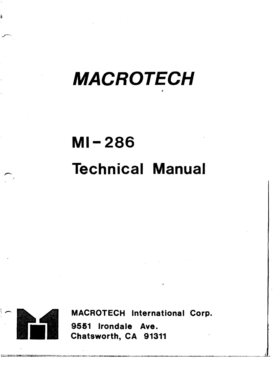# *MACROTECH*

# **MI-** 286 **Technical Manual**



MACROTECH International Corp. 9551 Irondale Ave. Chatsworth, CA 91311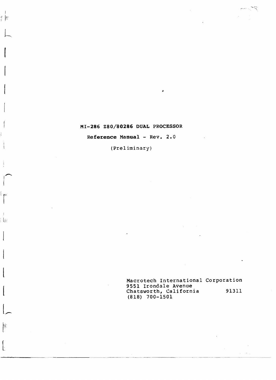### **MI-286 Z80/80286 DUAL** PROCESSOR

I

;: I:~:'

: las

 $\mathbb{P}$ 

 $\mathbf{t}$ 

 $\overline{\mathcal{L}}$ 

**Reference Manual** - Rev. 2.0

(preliminary)

Macrotech International Corporation 9551 Irondale Avenue Chatsworth, California 91311 (818) 700-1501

an (R

~------ ..... -~-..--------- - ----------~...... --------.....-----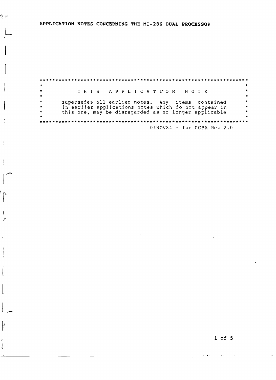### APPLICATION NOTES CONCERNING THE MI-286 DUAL PROCESSOR

 $\frac{1}{2}$ 

 $\frac{1}{2}$ 

 $\int$ 

 $\sim 10^2$ 

 $\begin{bmatrix} 1 & 0 \\ 0 & 1 \end{bmatrix}$ 

l

| $\star$ |                                                          | $\star$ |
|---------|----------------------------------------------------------|---------|
| $\star$ | THIS APPLICATION NOTE                                    | $\star$ |
| $\star$ |                                                          | $\star$ |
| $\star$ | supersedes all earlier notes. Any items contained        | $\star$ |
| $\star$ | in earlier applications notes which do not appear in     | $\star$ |
| $\star$ | this one, may be disregarded as no longer applicable     | $\star$ |
| $\star$ |                                                          | $\star$ |
|         | *******************<br>********************************* |         |
|         | $01NOV84 - for PCBA Rev 2.0$                             |         |

 $1$  of 5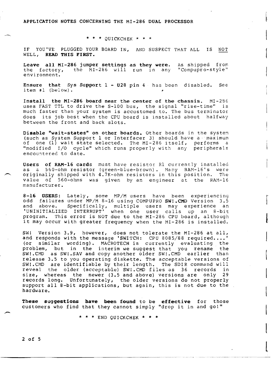#### APPLICATION NOTES CONCERNING THE MI-28G DUAL PROCESSOR

\* \* \* QUICKCHEK \* \* \*

IF YOU'VE PLUGGED YOUR BOARD IN, AND SUSPECT THAT ALL IS NOT WELL, READ THIS FIRST.

Leave all MI-286 jumper settings as they were. As shipped from the factory, the MI-286 will run in any "Compupro-style" envi ronment.

Ensure that Sys Support 1 - U28 pin 4 has been disabled. See item #1 (below).

Install the HI-286 board near the center of the chassis. MI-286 uses FAST TTL to drive the S-lOO bus, the signal "rise-time" is much faster than your system is accustomed to. The bus terminator does its job best when the CPU board is installed about halfway between the front and back slots.

Disable "wait-states" on other boards. Other boards in the system (such as System Support 1 or Interfacer 3) should have a -maximum (such as system support I of interfacer 3) should have a maximum<br>of one (1) wait state selected. The MI-286 itself, performs a "mOdified I/O cycle" which runs properly with any peripherals encountered to date.

Users of RAM-16 cards must have resistor Rl currently installed as a 560-ohm resistor (green-blue-brown). Many RAM-16's were<br>originally shipped with 4.7K-ohm resistors in this position. The<br>value of 560-ohms was given by an engineer at the RAM-16 manufacturer.

8-16 USERS: Lately, some MP/M users have been experiencing odd failures under MP/M 8-16 using COMPUPRO SW!.CMD Version 3.5 odd failures under MP/M 8-16 using COMPUPRO SWI.CMD Version 3.5<br>and above. Specifically, multiple users may experience an<br>'UNINITIALIZED INTERRUPT' when one user calls up an 8-bit program. This error is NOT due to the MI-286 CPU board, although it may occur with greater frequency when the MI-286 is installed.

SW! Version 3.9, however, does not tolerate the MI-286 at all, and responds with the message 'SWITCH: CPU 8085/88 required....' (or similar wording). MACROTECH is currently evaluating the problem, but in the interim we suggest that you rename the SW!.CMD as SW!.SAV and copy another older SW!.CMD earlier than release 3.5 to you operating diskette. The acceptable versions of SW!.CMD are identifiable by their length. The SDIR command will reveal the older (acceptable) SW!.CMD files as 36 records in size, whereas the newer (3.5 and above) versions are only 29 records long. Unfortunately, the older versions do not properly support all 8-bit applications, but again, this is not due to the hardware.

These suggestions have been found to be effective for those inese suggestions have been found to be effective for those customers who find that they cannot simply "drop it in and go!"

 $\mathbf{r}$ 

 $\mathbf{I}$ 

 $* * *$  END QUICKCHEK  $* * *$ 

2 of 5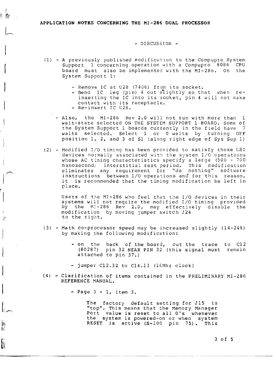**APPLICATION NOTES CONCERNING THE HI-286 DUAL PROCESSOR** 

#### - DISCUSSION -

- $(1)$  A previously published modification to the Compupro System Support<sub>.</sub> 1 concerning operation with a Compupro 8086 CPU board must also be implemented with the MI-286. On the System Support 1:
	- Remove IC at U28 (7406) from its socket.
	- Bend IC leg (pin) 4 out slightly so that when reinserting the IC into its socket, pin 4 will not make contact with its receptacle.
	- Re-insert IC U28.

[-

 $\mathbb{R}$ 

- Also, the MI-286 Rev 2.0 will not run with more than 1 wait-state selected ON THE SYSTEM SUPPORT 1 BOARD. Some of the System Support 1 boards currently in the field have 7 waits selected. Select 1 or 0 waits by turning OFF waits sefected. Sefect I of 0 waits by cuthing off<br>position 1, 2, and 3 of S1 (along right edge of Sys Sup 1)
- $(2)$  Modified I/O timing has been provided to satisfy those LSI devices normally associated with the system  $I/O$  operations whose AC timing characteristics specify a large (500 - 700 nanosecondj interstitial rest period. This modification eliminates any requirement for "do nothing" software instructions between  $I/O$  operations and for this reason, it is recommended that the timing modification be left in place.

Users of the MI-286 who feel that the I/O devices in their systems will not require the modified I/O timing provided by the MI-286 Rev 2.0, may effectively disable the modification by moving jumper switch J24 .... to the right.

- (3) Math co-processor speed may be increased slightly (14-24%) by making the following modification:
	- on the back of the board, cut the trace to Cl2 (80287) pin 32 NEAR PIN 32 (this signal must remain attached to pin 37.)
	- jumper C12.32 to C14.13 (16Mhz clock)
- (4) Clarification of items contained in the PRELIMINARY MI-286 REFERENCE MANUAL.

- Page  $3 - 1$ , item  $3$ .

The factory default setting for J15 is "top". This means that the Memory Manager Port value is reset to all O's whenever the system is powered-on or when system RESET is active (S-100 pin 75). This

3 of 5

----~--...-. "-'-'-~' ~-~~-~.-~--

------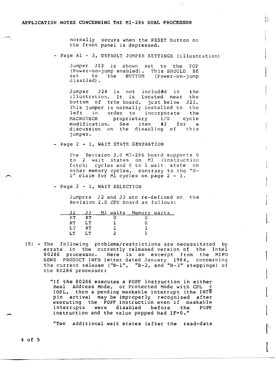normally occurs when the RESET button on the front panel is depressed.

- Page Al - 3, DEFAULT JUMPER SETTINGS (illustration)

Jumper J12 is shown set to the TOP (Power-on-jump enabled). This SHOULD BE set to the BOTTOM (Power-on-jump disabled).

Jumper J24 is not included in the illustration. It is located near the bottom of trhe board, just below J23. This jumper is normally installed to the<br>left in order to incorporate the left in order to incorporate the<br>MACROTECH proprietary I/O cycle MACROTECH proprietary I/O cycle modification. See item #2 for a discussion on the disabling of this jumper.

- Page 2 - 1, WAIT STATE GENERATION

The Revision 2.0 MI-286 board supports 0 to 2 wait states on Ml (instruction fetch) cycles and 0 to 1 wait state on other memory cycles, contrary to the "0-1" claim for Ml cycles on page 2 - 1.

- Page 2 - 1, WAIT SELECTION

Jumpers J2 and J3 are re-defined on the Revision 2.0 CPU board as follows:

|     |      | Ml waits Memory waits |
|-----|------|-----------------------|
| RТ  | RТ   |                       |
| RT. | Т.Т  |                       |
| L T | RТ   |                       |
| T.T | Г. Т |                       |

 $(5)$  - The following problems/restrictions are necessitated by errata in the currently released version of the Intel 80286 processor. Here is an excerpt from the MIPO NEWS PRODUCT INFO letter dated January 1984, concerning the current release ("B-1", "B-2, and "B-3" steppings) of the 80286 processor:

> "If the 80286 executes a POPF instruction ih either Real Address Mode, or Protected Mode with CPL  $\leq$ IOPL, then a pending maskable interrupt (the INT $\overline{R}$ pin active) may be improperly recognized after executing the POPF instruction even if maskable<br>interrupts were disabled before the POPF interrupts were disabled before the instruction and the value popped had  $IF=0.$ "

"Two additional wait states (after the read-data

 $\begin{bmatrix} \phantom{-} \end{bmatrix}$ 

k

--------......--~--~-- ... -~......--

4 of 5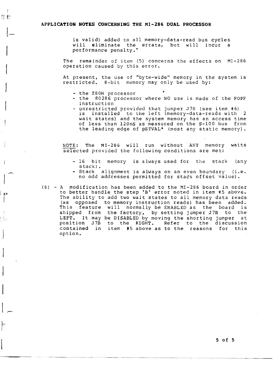#### **APPLICATION NOTES CONCERNING THE MI-286 DUAL PROCESSOR**

is valid) added to all memory-data-read bus cycles will eliminate the errata, but will incur a performance penalty."

The remainder of item (5) concerns the effects on MI-286 operation caused by this error.

At present, the use of "byte-wide" memory in the system is restricted. 8-bit memory may only be used by:

- 
- the Z80H processor<br>- the 80286 processor where NO use is made of the POPF instruction
- unrestricted provided that jumper J7B (see item #6) is installed to the left (memory-data-reads with 2 wait states) and the system memory has an access time of less than 120nS as measured on the S-lOO bus from the leading edge of pSTVAL\* (most any static memory).

NOTE: The MI-286 will run without ANY memory waits selected provided the following conditions are met:

- 16 bit memory is always used for the stack (any stack).
- Stack alignment is always on an even boundary (i.e. no odd addresses permitted for stack offset value).
- (6) A modification has been added to the MI-286 board in order to better handle the step **'B'** error noted in item #5 above. The ability to add two wait states to all memory data reads (as opposed to memory instruction reads) has been added. This feature will normally be ENABLED as the board is shipped from the factory, by setting jumper J7B to the LEFT. It may be DISABLED by moving the shorting jumper at position J7B to the RIGHT. Refer to the discussion contained in item #5 above as to the reasons for this option.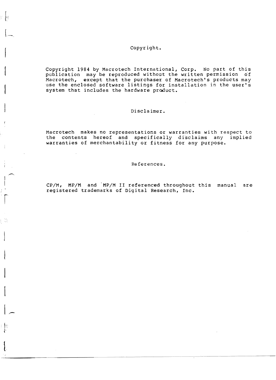#### Copyright.

Copyright 1984 by Macrotech International, Corp. No part of this publication may be reproduced without the written permission of Macrotech, except that the purchaser of Macrotech's products may use the enclosed software listings for installation in the user's system that includes the hardware product.

#### Disclaimer.

Macrotech makes no representations or warranties with respect to the contents hereof and specifically disclaims any implied warranties of merchantability or fitness for any purpose.

#### References.

CP/M, MP/M and MP/M II referenced throughout this manual are registered trademarks of Digital Research, Inc.

--------~,-~-----------------------------------------~-~----- ---

*-1"*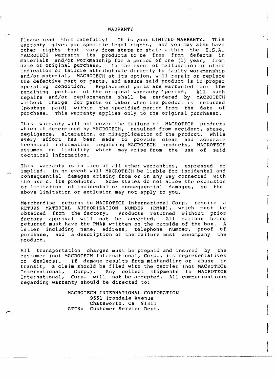#### WARRANTY

Please read this carefully! It is your LIMITED WARRANTY. This warranty gives you specific legal rights, and you may also have other rights that vary from state to state within the U.S.A. MACROTECH warrants its products to be free from defects in materials and/or workmanship for a period of  $c$ ne (1) year, from date of original purchase. In the event of malfunction or other indication of failure attributable directly tc faulty workmanship and/or material, MACROTECH at its option, will repair or replace the defective part or parts, and assure said product is in proper operating condition. Replacement parts are warranted for the<br>remaining portion of the original warranty 'period. All such remaining portion of the original warranty 'period. repairs and/or replacements shall be rendered by MACROTECH without charge for parts or labor when the product is returned (postage paid) within the specified period from the date of purchase. This warranty applies only to the original purchaser.

This warranty will not cover the failure of MACROTECH products which if determined by MACROTECH, resulted from accident, abuse, negligence, alteration, or misapplication of the product. While negligence, alteration, or misapplication of the product. every effort has been made to provide clear and accurate technical information regarding MACROTECH products, MACROTECH assumes no liability which may arise from the use of said technical information.

This warranty is in lieu of all other warranties, expressed or implied. In no event will MACROTECH be liable for incidental and consequential damages arising from or in any way connected with the use of its products. Some states do not allow the exclusion or limitation of incidental or consequential damages, so the above limitation or exclusion may not apply to you.

 $\mathbf{r}$ 

 $\begin{bmatrix} \cdot \\ \cdot \end{bmatrix}$ 

 $\overline{\phantom{a}}$ 

 $\mathbb{R}$ 

 $\overline{\mathbf{L}}$ 

Merchandise returns to MACROTECH International Corp. require a RETURN MATERIAL AUTHORIZATION NUMBER (RMA#), which must be obtained from the factory. Products returned without prior factory approval will not be accepted. All cartons being returned must have the RMA# written on the outside of the box. A letter including name, address, telephone number, proof of purchase, and a description of the failure must accompany the product.

All transportation charges must be prepaid and insured by the customer (not MACROTECH International, Corp., its representatives or dealers). If damage results from mishandling or abuse in transit, a claim should be filed with the carrier (not MACROTECH International, Corp.). Any collect shipments to International, Corp. will not be accepted. All communications regarding warranty should be directed to:

> MACROTECH INTERNATIONAL CORPORATION 9551 Irondale Avenue Chatsworth, Ca 91311 ATTN: Customer Service Dept.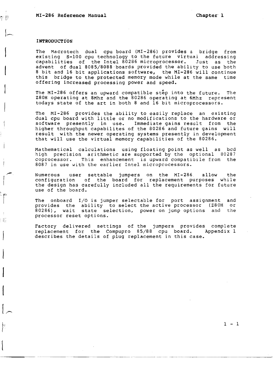#### **INTRODUCTION**

. حصر

I

本長

"r

聊

J

 $\begin{bmatrix} \phantom{-} \end{bmatrix}$ 

 $\mid$ 

 $\begin{cases} \begin{array}{ccc} \end{array} & \end{cases}$ 

The Macrotech dual cpu board (MI-286) provides a bridge from existing S-100 cpu technology to the future virtual addressing<br>capabilities of the Intel 80286 microprocessor. Just as the capabilities of the Intel 80286 microprocessor. advent of dual 8085/8088 boards provided the ability to use both S bit and 16 bit applications software, the MI-286 will continue this bridge to the protected memory mode while at the same time offering increased processing power and speed.

The MI-286 offers an upward compatible step into the future. The Z80H operating at 8Mhz and the 80286 operating at 6Mhz represent todays state of the art in both 8 and 16 bit microprocessors.

The MI-286 provides the ability to easily replace an existing dual cpu board with little or no modifications to the hardware or software presently in use. Immediate gains result from the higher throughput capabilites of the 80286 and future gains will result with the newer operating systems presently in development that will use the virtual memory capabilities of the 80286.

Mathematical calculations using floating point as well as bcd high precision arithmetic are supported by the optional 80287 coprocessor. This enhancement is upward compatibile from the 8087 in use with the earlier Intel microprocessors.

Numerous user settable jumpers on the MI-286. allow the configuration of the board for replacement purposes while the design has carefully included all the requirements for future use of the board.

The onboard I/O is jumper selectable for port assignment and provides the ability to select 80286), wait state selection, processor reset options. the active processor (Z80H or power on jump options and the

Factory delivered settings of the jumpers provides complete replacement for the Compupro 85/88 cpu board. Appendix 1 replacement for the Compupro 85/88 cpu board. Appendix 1<br>describes the details of plug replacement in this case.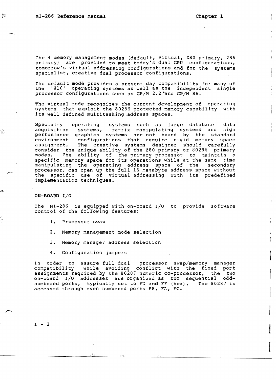整

.<br>Ch

Ś,

 $\mathbf{l}$ 

The 4 memory management modes (default, virtual, Z80 primary, 286 primary) are provided to meet today's dual CPU configurations, tomorrow's virtual addressing configurations and for the systems specialist, creative dual processor configurations.

The default mode provides a present day compatibility for many of<br>the '816' operating systems as well as the independent single '816' operating systems as well as the independent single processor configurations such as  $CP/M$  2.2 and  $CP/M$  86.

The virtual mode recognizes the current development of operating systems that exploit the 80286 protected memory capability with its well defined multitasking address spaces.

Specialty operating systems such as large database data acquisition systems, matrix manipulating systems and high performance graphics systems are not bound by the standard environment configurations that require rigid memory space<br>assignment. The creative systems designer should carefully The creative systems designer should carefully consider the unique ability of the Z80 primary or 80286 primary modes. The ability of the primary processor to maintain a specific memory space for its operations while at the same time manipulating the operating address space of the secondary processor, can open up the full 16 megabyte address space without the specific use of virtual addressing with its predefined implementation techniques.

#### **ON-BOARD** I/O

The MI-286 is equipped with on-board I/O to provide software control of the following features:

- 1. Processor swap
- 2. Memory management mode selection
- 3. Memory manager address selection
- 4. Configuration jumpers

In order to assure full dual processor swap/memory manager while avoiding conflict with the fixed port assignments required by the 80287 numeric co-processor, the two on-board I/O addresses are organized as two sequential oddnumbered ports, typically set to FD and FF (hex). The 80287 is accessed through even numbered ports F8, FA, FC.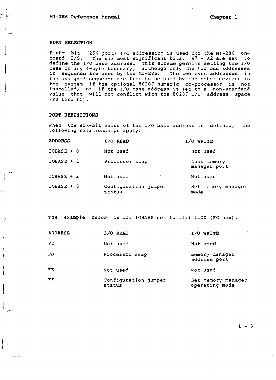#### PORT SELECTION

的标

38

Eight bit (256 port) I/O addressing is used for the HI-286 onboard I/O. The six most significant bits, A7 - A2 are set to define the I/O base address. This scheme permits setting the I/O base on any 4-byte boundary, although only the two odd addresses in sequence are used by the MI-286. The two even addresses in the assigned sequence are free to be used by the other devices in the system if the optional 80287 numeric co-processor is not installed, or if the I/O base address is set to a non-standard value that will not conflict with the 80287 I/O address space (FS thru FC).

#### PORT DEFINITIONS

.\_-----\_ ....................\_

.....

When the six-bit value of the I/O base address is defined, the following relationships apply:

| <b>ADDRESS</b> | $I/O$ READ                     | I/O WRITE                   |
|----------------|--------------------------------|-----------------------------|
| $IOBASE + 0$   | Not used                       | Not used                    |
| $IOBASE + 1$   | Processor swap                 | Load memory<br>manager port |
| $IOBASE + 2$   | Not used                       | Not used                    |
| $IOBASE + 3$   | Configuration jumper<br>status | Set memory manager<br>mode  |

The example below is for IOBASE set to 1111 llxx (FC hex).

| <b>ADDRESS</b> | $I/O$ READ                     | $\sim$<br>I/O WRITE                  |
|----------------|--------------------------------|--------------------------------------|
| FC             | Not used                       | Not used                             |
| FD             | Processor swap                 | memory manager<br>address port       |
| FE             | Not used                       | Not used                             |
| FF             | Configuration jumper<br>status | Set memory manager<br>operating mode |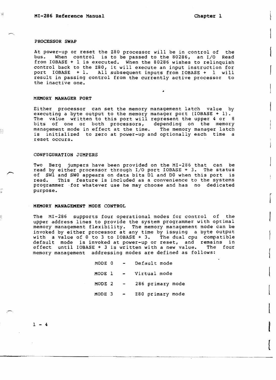$\left\lceil \right\rceil$ 

 $\begin{bmatrix} \phantom{-} \end{bmatrix}$ 

*i* 

#### PROCESSOR SWAP

S)

At power-up or reset the Z80 processor will be in control of the<br>bus. When control is to be passed to the 80286, an I/O Read When control is to be passed to the 80286, an  $I/O$  Read from 10BASE + 1 is executed. When the 80286 wishes to relinquish control back to the Z80, it will execute an input instruction for port IOBASE + 1. All subsequent inputs from IOBASE + 1 will result in passing control from the currently active processor to the inactive one.

#### MEMORY MANAGER PORT

Either processor can set the memory management latch value by executing a byte output to the memory manager port (IOBASE + 1). The value written to this port will represent the upper 4 or 8 bits of one or both processors, depending on the memory management mode in effect at the time. The memory manager latch is initialized to zero at power-up and optionally each time a reset occurs.

#### CONFIGURATION JUMPERS

Two Berg jumpers have been provided on the MI-286 that can be read by either processor through I/O port IOBASE + 3. The status of SWl and SWO appears on data bits Dl and DO when this port is<br>read. This feature is included as a convenience to the systems This feature is included as a convenience to the systems programmer ·for whatever use he may choose and has no dedicated purpose.

#### MEMORY MANAGEMENT MODE CONTROL

The MI-286 supports four operational modes for control of the upper address lines to provide the system programmer with optimal memory management flexibility. The memory management mode can be invoked by either processor at any time by issuing a byte output with a value of 0 to 3 to IOBASE + 3. The dual cpu compatible default mode is invoked at power-up or reset, and remains in<br>effect until IOBASE + 3 is written with a new value. The four effect until IOBASE + 3 is written with a new value. memory management addressing modes are defined as follows: {

| MODE $0 -$            |                                   |  | Default mode |                  |
|-----------------------|-----------------------------------|--|--------------|------------------|
| MODE 1 - Virtual mode |                                   |  |              |                  |
| MODE $2 -$            |                                   |  |              | 286 primary mode |
| MODE 3                | <b>Contract Contract Contract</b> |  |              | 280 primary mode |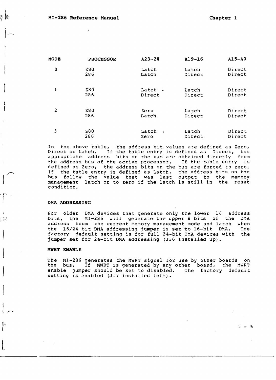$\sim$  1.1..,

r

. v·  $\mathfrak{f}^{\mathfrak{c}}$ 

: 85

| MODE           | <b>PROCESSOR</b>  | $A23 - 20$                             | A19-16           | A15-A0           |
|----------------|-------------------|----------------------------------------|------------------|------------------|
| 0              | <b>Z80</b>        | Latch                                  | Latch            | Direct           |
|                | 286               | Latch                                  | Direct           | Direct           |
| 1              | <b>Z80</b>        | Latch $\overline{\phantom{a}}$         | Latch            | Direct           |
|                | 286               | Direct                                 | Direct           | Direct           |
| $\overline{2}$ | <b>Z80</b>        | Zero                                   | Latch            | Direct           |
|                | 286               | Latch                                  | Direct           | Direct           |
| 3              | <b>Z80</b><br>286 | Latch<br>$\bullet$<br>2er <sub>o</sub> | Latch<br>Direct. | Direct<br>Direct |

In the above table, the address bit values are defined as Zero, In the disort caste) the didites sit values are defined as Birect, the appropriate address bits on the bus are obtained directly from the address bus of the active processor. If the table entry is defined as Zero, the address bits on the bus are forced to zero. If the table entry is defined as Latch, the address bits on the bus follow the value that was last output to the memory bus forlow the value that was last output to the memory<br>management latch or to zero if the latch is still in the reset condition •

#### DMA ADDRESSING

For older DMA devices that generate only the lower 16 address bits, the MI-286 will generate the upper 8 bits of the DMA address from the current memory management mode and latch when the 16/24 bit DMA addressing jumper is set to 16-bit DMA. The factory default setting is for full 24-bit DMA devices with the jumper set for 24-bit DMA addressing (J16 installed up).

#### MWRT ENABLE

The MI-286 generates the MWRT signal for use by other boards on the bus. If MWRT is generated by any other board, the MWRT enable jumper should be set to disabled. The factory default enable jumper should be set to disabled. The factory default enable jumper should be set to disabled.<br>setting is enabled (J17 installed left).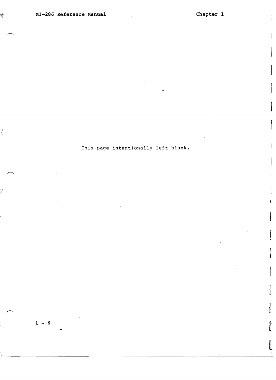ţ.

쓚

ĵ.

S,

ŧ

## This page intentionally left blank.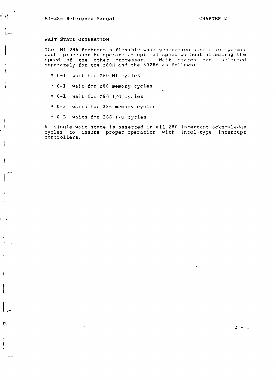#### **WAIT STATE GENERATION**

 $\mathfrak{t}$ 

家长

Ý

Ť

i ge

The MI-286 features a flexible wait generation scheme to permit each processor to operate at optimal speed without affecting the speed of the other processor. Wait states are selected separately for the Z80H and the 80286 as follows:

- \* 0-1 wait for Z80 Hl cycles
- \* 0-1 wait for Z80 memory cycles
- \* 0-1 wait for Z80 I/O cycles
- \* 0-3 waits for 286 memory cycles
- \* 0-3 waits for 286 I/O cycles

A single wait state is asserted in all Z80 interrupt acknowledge cycles to assure proper operation with Intel-type interrupt controllers.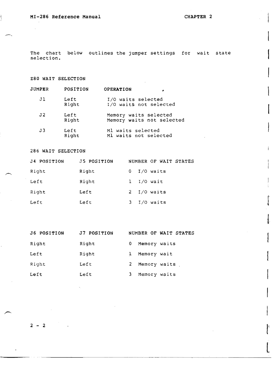MI-286 Reference Manual CHAPTER 2

The chart below outlines the jumper settings for wait state ine chart below outlines the jumper settings for wall state and the problem of the state of the state of the state of the state of the state of the state of the state of the state of the state of the state of the state of

#### Z80 WAIT SELECTION

| JUMPER | POSITION      | OPERATION<br>-4                                    |
|--------|---------------|----------------------------------------------------|
| J1     | Left<br>Right | I/O waits selected<br>I/O waits not selected       |
| J2     | Left<br>Right | Memory waits selected<br>Memory waits not selected |
| J3     | Left<br>Right | Ml waits selected<br>Ml waits not selected         |

#### 286 WAIT SELECTION

| J4 POSITION | J5 POSITION | NUMBER OF WAIT STATES |  |
|-------------|-------------|-----------------------|--|
| Right       | Right       | $0$ I/O waits         |  |
| Left        | Right       | $1$ I/O wait          |  |
| Right       | Left        | $2$ I/O waits         |  |
| Left        | Left        | $3$ I/O waits         |  |

| J6 POSITION | J7 POSITION |    |              | NUMBER OF WAIT STATES |
|-------------|-------------|----|--------------|-----------------------|
| Right       | Right       | 0  | Memory waits |                       |
| Left        | Right       |    | Memory wait  |                       |
| Right       | Left        | 2  |              | Memory waits          |
| Left        | Left        | 3. | Memory waits |                       |

 $\frac{1}{2}$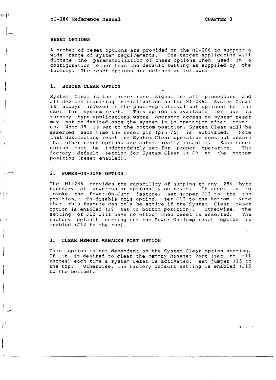#### RESET OPTIONS

, ~~

> $\sim$ I

A number of reset options are provided on the MI-286 to support a wide range of system requirements. The target application will dictate the parameterization of these options when used in a configuration other than the default setting as supplied by the factory. The reset options are defined as follows:

#### 1. SYSTEM CLEAR OPTION

System Clear is the master reset signal for all processors and all devices requiring initialization on the MI-286. System Clear is always invoked in the power-up interval but optional to the user for system reset. This option is available for use in turnkey type applications where operator access to system reset may not be desired once the system is in operation after power-When J9 is set to the bottom position, System Clear will be<br>rted each time the reset pin (pin 75) is activated. Note asserted each time the reset pin (pin 75) is activated. that deselecting reset for System Clear operation does not assure that other reset options are automatically disabled. Each reset option must be independently set for proper operation. The factory default setting for System Clear is J9 to the bottom position (reset enabled).

#### 2. POWER-ON-JUMP OPTION

The MI-286 provides the capability of jumping to any 256 byte boundary at power-up or optionally on reset. If reset is to invoke the Power-On-Jump feature, set jumper J12 to the top position. To disable this option, set J12 to the bottom. Note that this feature can only be active if the System Clear reset option is enabled (J9 set to bottom position). Otherwise, the setting of J12 will have no effect when reset is asserted. The setting of J12 will have no effect when reset is asserted. factory default setting for the Power-On-Jump reset option is enabled (J12 to the top).

#### 3. CLEAR MEMORY MANAGER PORT OPTION

This option is not dependent on the System Clear option setting. If it is desired to clear the Memory Manager Port (set to all zeroes) each time a system reset is activated, set jumper J15 to the top. Otherwise, the factory default setting is enabled (J15 to the bottom).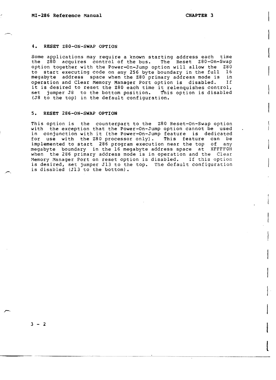$\left\vert \cdot\right\vert$ 

I

#### 4. RESET Z80-ON-SWAP OPTION

Some applications may require a known starting address each time the ZBO acquires control of the bus. The Reset Z80-0n-Swap option together with the Power-On-Jump option will allow the Z80 to start executing code on any 256 byte boundary in the full 16 megabyte address space when the Z80 primary address mode is in operation and Clear Memory Manager Port option is disabled. it is desired to reset the Z80 each time it relenquishes control, set jumper J8 to the bottom position. This option is disabled (JB to the top) in the default configuration.

#### 5. RESET 286-0N-SWAP OPTION

This option is the counterpart to the Z80 Reset-On-Swap option with the exception that the Power-On-Jump option cannot be used with the exception that the Power-On-Jump option cannot be used<br>in conjunction with it (the Power-On-Jump feature is dedicated for use with the Z80 processor only). This feature can be implemented to start 286 program execution near the top of any megabyte boundary in the 16 megabyte address space at XFFFFOH when the 286 primary address mode is in operation and the Clear Memory Manager Port on reset option is disabled. If this option is desired, set jumper J13 to the top. The default configuration is disabled (J13 to the bottom).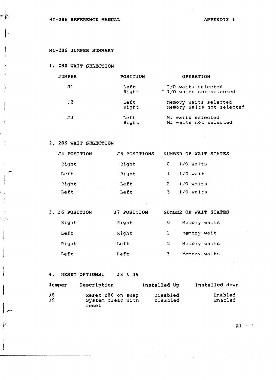$\frac{1}{2}$ 

f-

 $\left| \begin{array}{c} 1 \\ 1 \end{array} \right|$ 

 $\frac{1}{3}$ )<br>1 음주

 $\begin{array}{c} \hline \end{array}$ 

 $\mathbf{I}$ 

 $\begin{picture}(20,20) \put(0,0){\line(1,0){10}} \put(15,0){\line(1,0){10}} \put(15,0){\line(1,0){10}} \put(15,0){\line(1,0){10}} \put(15,0){\line(1,0){10}} \put(15,0){\line(1,0){10}} \put(15,0){\line(1,0){10}} \put(15,0){\line(1,0){10}} \put(15,0){\line(1,0){10}} \put(15,0){\line(1,0){10}} \put(15,0){\line(1,0){10}} \put(15,0){\line(1$ 

 $\Bigl\}$ 

 $\frac{1}{2}$  .

#### MI-286 JUMPER SUMMARY

#### 1. Z80 WAIT SELECTION

| <b>JUMPER</b>  | <b>POSITION</b> | OPERATION                                          |
|----------------|-----------------|----------------------------------------------------|
| J <sub>1</sub> | Left<br>Right   | I/O waits selected<br>* I/O waits not selected     |
| J <sub>2</sub> | Left<br>Right   | Memory waits selected<br>Memory waits not selected |
| J3             | Left<br>Right   | Ml waits selected<br>Ml waits not selected         |

#### 2. 286 WAIT SELECTION

|              | J4 POSITION | <b>J5 POSITIONS</b> | NUMBER OF WAIT STATES       |
|--------------|-------------|---------------------|-----------------------------|
|              | Right       | Right               | $I/O$ waits<br>0            |
| $\leftarrow$ | Left        | Right               | $I/O$ wait                  |
|              | Right       | Left                | $I/O$ waits<br>$\mathbf{2}$ |
| ÷.           | Left        | Left                | $I/O$ waits<br>3            |
|              |             |                     |                             |

| 3. J6 POSITION | J7 POSITION | NUMBER OF WAIT STATES |
|----------------|-------------|-----------------------|
| Right          | Right       | Memory waits<br>0     |
| Left           | Right       | Memory wait           |
| Right          | Left        | Memory waits<br>2     |
| Left           | Left        | Memory waits<br>3     |

## 1 4. RESET OPTIONS: J8 & J9

| Jumper | Description                | Installed Up | Installed down |
|--------|----------------------------|--------------|----------------|
| J8     | Reset 280 on swap          | Disabled     | Enabled        |
| J9     | System clear with<br>reset | Disabled     | Enabled        |

 $\mathbf{A1}$  - 1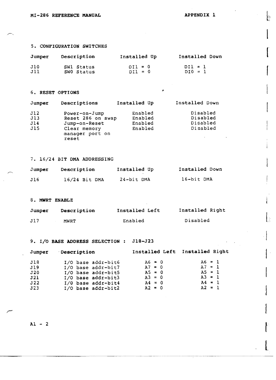$\mathbf{I}$ 

Í.

þ

| Jumper     | Description              | Installed Up           | Installed Down         |  |
|------------|--------------------------|------------------------|------------------------|--|
| J10<br>J11 | SWl Status<br>SWO Status | $DII = 0$<br>$DII = 0$ | $DI1 = 1$<br>$DI0 = 1$ |  |

6. RESET OPTIONS

| Jumper     | Descriptions                             | Installed Up       | Installed Down       |
|------------|------------------------------------------|--------------------|----------------------|
| J12<br>J13 | $Power-on-Jump$<br>Reset 286 on swap     | Enabled<br>Enabled | Disabled<br>Disabled |
| J14        | Jump-on-Reset                            | Enabled            | Disabled             |
| <b>J15</b> | Clear memory<br>manager port on<br>reset | Enabled            | Disabled             |

7. 16/24 BIT DHA ADDRESSING

| Jumper | Description     | Installed Up   | Installed Down |
|--------|-----------------|----------------|----------------|
| J16    | $16/24$ Bit DMA | $24 - bit$ DMA | 16-bit DMA     |

8. MWRT ENABLE

| Jumper | Description | Installed Left | Installed Right |
|--------|-------------|----------------|-----------------|
| J17    | <b>MWRT</b> | Enabled        | Disabled        |

9. I/O BASE ADDRESS SELECTION : J18-J23

| Jumper | Description          |          | Installed Left Installed Right |
|--------|----------------------|----------|--------------------------------|
| J18    | I/O base addr-bit6   | $AG = 0$ | $A6 = 1$                       |
| J19    | I/O base addr-bit7   | $A7 = 0$ | $A7 = 1$                       |
| J20    | I/O base addr-bit5   | $AS = 0$ | $AS = 1$                       |
| J21    | $I/O$ base addr-bit3 | $A3 = 0$ | $A3 = 1$                       |
| J22    | I/0 base addr-bit4   | $A4 = 0$ | $A4 = 1$                       |
| J23    | I/O base addr-bit2   | $A2 = 0$ | $A2 = 1$                       |

 $\text{Al}$  - 2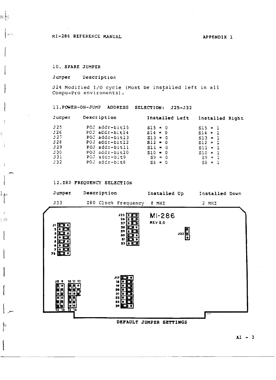#### MI-286 REFERENCE MANUAL

APPENDIX 1

10. SPARE JUMPER

99 (s)

s<br>S filo

1

y 法

Jumper Description

J24 Modified I/O cycle (Must be installed left in all Compu-Pro enviroments).

11. POWER-ON-JUMP ADDRESS SELECTION: J25-J32

| Jumper | Description    | Installed Left | Installed Right |  |
|--------|----------------|----------------|-----------------|--|
| J25    | POJ addr-bit15 | $S15 = 0$      | $S15 = 1$       |  |
| J26    | POJ addr-bitl4 | $S14 = 0$      | $S14 = 1$       |  |
| J27    | POJ addr-bit13 | $S13 = 0$      | $S13 = 1$       |  |
| J28    | POJ addr-bitl2 | $S12 = 0$      | $S12 = 1$       |  |
| J29    | POJ addr-bitll | $S11 = 0$      | $S11 = 1$       |  |
| J30    | POJ addr-bit10 | $S10 = 0$      | $S10 = 1$       |  |
| J31    | POJ addr-bit9  | $S9 = 0$       | $SS = 1$        |  |
| J32    | POJ addr-bit8  | $56 = 0$       | $58 = 1$        |  |
|        |                |                |                 |  |

#### 12.280 PREQUENCY SELECTION



 $Al - 3$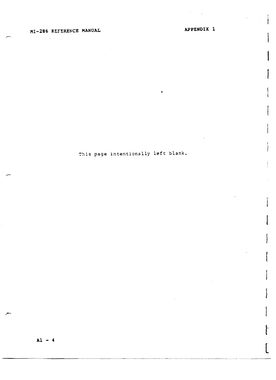$\mathcal{A}$ 

## This page intentionally left blank.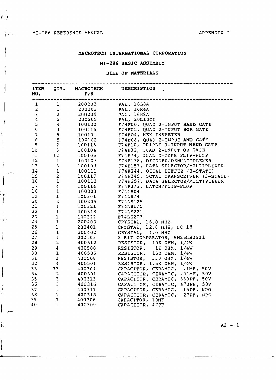#### MI-286 REFERENCE MANUAL **APPENDIX 2**

: \'..

 $\begin{array}{c} \hline \end{array}$ 

 $\int$ 

 $\mathbf{I}$ 

e b

J

 $\{$ 

j::;:

I

1. "

#### MACROTECH INTERNATIONAL CORPORATION

#### HI-286 BASIC ASSEMBLY

#### BILL OF MATERIALS

| ITEM<br>NO.             | QTY.                    | <b>MACROTECH</b><br>P/N | <b>DESCRIPTION</b>                                |
|-------------------------|-------------------------|-------------------------|---------------------------------------------------|
| $\mathbf 1$             | ı                       | 200202                  | PAL, 16L8A                                        |
| $\overline{2}$          | $\mathbf{1}$            | 200203                  | PAL, 16R4A                                        |
| $\overline{\mathbf{3}}$ | $\overline{2}$          | 200204                  | PAL, 16R8A                                        |
| $\overline{\mathbf{4}}$ | $\overline{a}$          | 200205                  | PAL, 20L10CN                                      |
| 5                       | $\boldsymbol{4}$        | 100100                  | F74F00, QUAD 2-INPUT NAND GATE                    |
| $6\overline{6}$         | $\overline{\mathbf{3}}$ | 100115                  | F74F02, QUAD 2-INPUT NOR GATE                     |
| $\overline{7}$          | 5                       | 100101                  | F74F04, HEX INVERTER                              |
| 8                       | 5                       | 100102                  | F74F08, QUAD 2-INPUT AND GATE                     |
| 9                       | $\overline{2}$          | 100116                  | F74F10, TRIPLE 3-INPUT NAND GATE                  |
| 10                      | $\overline{\mathbf{3}}$ | 100104                  | F74F32, QUAD 2-INPUT OR GATE                      |
| 11                      | 12                      | 100106                  | F74F74, DUAL D-TYPE FLIP-FLOP                     |
| 12                      | $\mathbf 1$             | 100107                  | F74F138, DECODER/DEMULTIPLEXER                    |
| 13                      | $\overline{\mathbf{3}}$ | 100109                  | F74F157, DATA SELECTOR/MULTIPLEXER                |
| 14                      | $\mathbf 1$             | 100111                  | F74F244, OCTAL BUFFER (3-STATE)                   |
| 15                      | $\overline{2}$          | 100117                  | F74F245, OCTAL TRANSCEIVER (3-STATE)              |
| 16                      | $\mathbf 1$             | 100112                  | F74F257, DATA SELECTOR/MULTIPLEXER                |
| 17                      | $\boldsymbol{4}$        | 100114                  | F74F373, LATCH/FLIP-FLOP                          |
| 18                      | $\mathbf 1$             | 100323                  | <b>F74LS04</b>                                    |
| 19                      | $\mathbf 1$             | 100301                  | <b>F74LS74</b>                                    |
| 20                      | $\overline{\mathbf{3}}$ | 100305                  | <b>F74LS125</b>                                   |
| 21                      | $\mathbf{1}$            | 100321                  | <b>F74LS175</b>                                   |
| 22                      | $\mathbf{1}$            | 100318                  | <b>F74LS221</b>                                   |
| 23                      | $\mathbf 1$             | 100322                  | F74LS273                                          |
| 24                      | $\mathbf 1$             | 200403                  | CRYSTAL, 16.0 MHZ                                 |
| 25                      | $\mathbf 1$             | 200401                  | CRYSTAL, 12.0 MHZ, HC 18                          |
| 26                      | $\mathbf{1}$            | 200402                  | CRYSTAL, 4.0 MHZ                                  |
| 27                      | $\mathbf 1$             | 200103                  | 8 BIT COMPARATOR, AM25LS2521                      |
| 28                      | $\overline{2}$          | 400512                  | 10K OHM, 1/4W<br>RESISTOR,                        |
| 29                      | $\boldsymbol{4}$        | 400500                  |                                                   |
| 30                      | $\mathbf 1$             | 400506                  | RESISTOR, 1K OHM, 1/4W<br>RESISTOR, 150 OHM, 1/4W |
| 31                      | 3                       | 400508                  | RESISTOR, 330 OHM, 1/4W                           |
| 32                      | $\overline{4}$          | 400501                  | RESISTOR, 1.5K OHM, 1/4W                          |
| 33                      | 33                      | 400304                  | CAPACITOR, CERAMIC, .1MF, 50V                     |
| 34                      | $\overline{2}$          | 400301                  | CAPACITOR, CERAMIC, .01MF, 50V                    |
| 35                      | $\overline{2}$          | 400313                  | CAPACITOR, CERAMIC, 330PF, 50V                    |
| 36                      | $\mathbf{3}$            | 400316                  | CAPACITOR, CERAMIC, 470PF, 50V                    |
| 37                      | $\mathbf 1$             | 400317                  | CAPACITOR, CERAMIC, 15PF, NPO                     |
| 38                      | $\mathbf 1$             | 400318                  | CAPACITOR, CERAMIC,<br>27PF, NPO                  |
| 39                      | $\mathbf{3}$            | 400306                  | CAPACITOR, 10MF                                   |
| 40                      | $\mathbf{1}$            | 400309                  | CAPACITOR, 47PF                                   |

 $A2 - 1$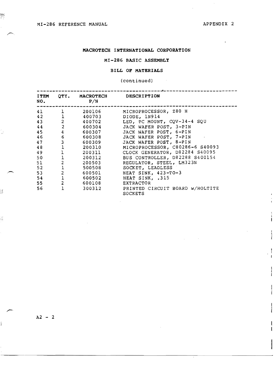/""'..

lity.<br>C

Ů,

 $\frac{1}{2}$ 

 $\frac{1}{2}$ 

ķ

 $\frac{1}{2}$ 

#### MACROTECH INTERNATIONAL CORPORATION

#### MI-286 BASIC ASSEMBLY

#### BILL OF MATERIALS

(continued)

| NO. |                  | ITEM QTY. MACROTECH<br>P/N | <b>DESCRIPTION</b>                                |
|-----|------------------|----------------------------|---------------------------------------------------|
| 41  |                  | 1 200106                   | MICROPROCESSOR, Z80 H                             |
| 42  |                  | 400703                     | DIODE, 1N914                                      |
| 43  |                  | 2 400702                   | LED, PC MOUNT, CQV-34-4 SQU                       |
| 44  |                  | 2 600304                   | JACK WAFER POST, 3-PIN                            |
| 45  | $\boldsymbol{4}$ | 600307                     | JACK WAFER POST, 6-PIN                            |
| 46  |                  | 6 600308                   | JACK WAFER POST, 7-PIN                            |
| 47  |                  | 3 600309                   | JACK WAFER POST, 8-PIN                            |
| 48  |                  | 1 200310                   | MICROPROCESSOR, C80286-6 S40093                   |
| 49  |                  | 200311                     | CLOCK GENERATOR, D82284 S40095                    |
| 50  |                  | 1 200312                   | BUS CONTROLLER, D82288 S400154                    |
| 51  |                  | 2 200503                   | REGULATOR, STEEL, LM323N                          |
| 52  |                  | 500508                     | SOCKET, LEADLESS                                  |
| 53  |                  | 2 600501                   | HEAT SINK, $423 - T0 - 3$                         |
| 54  |                  | 1 600502                   | HEAT SINK, .315                                   |
| 55. |                  | 2 600108                   | EXTRACTOR                                         |
| 56  |                  | 300312                     | PRINTED CIRCUIT BOARD W/HOLTITE<br><b>SOCKETS</b> |

 $A2 - 2$